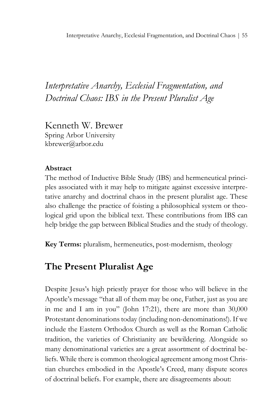## *Interpretative Anarchy, Ecclesial Fragmentation, and Doctrinal Chaos: IBS in the Present Pluralist Age*

Kenneth W. Brewer Spring Arbor University kbrewer@arbor.edu

### **Abstract**

The method of Inductive Bible Study (IBS) and hermeneutical principles associated with it may help to mitigate against excessive interpretative anarchy and doctrinal chaos in the present pluralist age. These also challenge the practice of foisting a philosophical system or theological grid upon the biblical text. These contributions from IBS can help bridge the gap between Biblical Studies and the study of theology.

**Key Terms:** pluralism, hermeneutics, post-modernism, theology

## **The Present Pluralist Age**

Despite Jesus's high priestly prayer for those who will believe in the Apostle's message "that all of them may be one, Father, just as you are in me and I am in you" (John 17:21), there are more than 30,000 Protestant denominations today (including non-denominations!). If we include the Eastern Orthodox Church as well as the Roman Catholic tradition, the varieties of Christianity are bewildering. Alongside so many denominational varieties are a great assortment of doctrinal beliefs. While there is common theological agreement among most Christian churches embodied in the Apostle's Creed, many dispute scores of doctrinal beliefs. For example, there are disagreements about: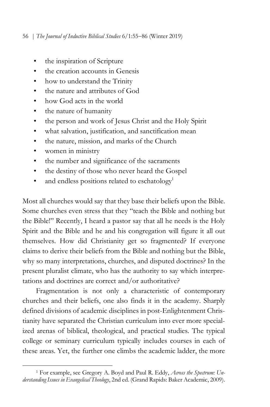- the inspiration of Scripture
- the creation accounts in Genesis
- how to understand the Trinity
- the nature and attributes of God
- how God acts in the world
- the nature of humanity
- the person and work of Jesus Christ and the Holy Spirit
- what salvation, justification, and sanctification mean
- the nature, mission, and marks of the Church
- women in ministry
- the number and significance of the sacraments
- the destiny of those who never heard the Gospel
- and endless positions related to eschatology<sup>1</sup>

Most all churches would say that they base their beliefs upon the Bible. Some churches even stress that they "teach the Bible and nothing but the Bible!" Recently, I heard a pastor say that all he needs is the Holy Spirit and the Bible and he and his congregation will figure it all out themselves. How did Christianity get so fragmented? If everyone claims to derive their beliefs from the Bible and nothing but the Bible, why so many interpretations, churches, and disputed doctrines? In the present pluralist climate, who has the authority to say which interpretations and doctrines are correct and/or authoritative?

Fragmentation is not only a characteristic of contemporary churches and their beliefs, one also finds it in the academy. Sharply defined divisions of academic disciplines in post-Enlightenment Christianity have separated the Christian curriculum into ever more specialized arenas of biblical, theological, and practical studies. The typical college or seminary curriculum typically includes courses in each of these areas. Yet, the further one climbs the academic ladder, the more

 $\overline{a}$ <sup>1</sup> For example, see Gregory A. Boyd and Paul R. Eddy, *Across the Spectrum: Understanding Issues in Evangelical Theology*, 2nd ed. (Grand Rapids: Baker Academic, 2009).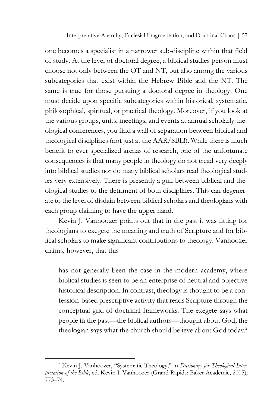Interpretative Anarchy, Ecclesial Fragmentation, and Doctrinal Chaos | 57

one becomes a specialist in a narrower sub-discipline within that field of study. At the level of doctoral degree, a biblical studies person must choose not only between the OT and NT, but also among the various subcategories that exist within the Hebrew Bible and the NT. The same is true for those pursuing a doctoral degree in theology. One must decide upon specific subcategories within historical, systematic, philosophical, spiritual, or practical theology. Moreover, if you look at the various groups, units, meetings, and events at annual scholarly theological conferences, you find a wall of separation between biblical and theological disciplines (not just at the AAR/SBL!). While there is much benefit to ever specialized arenas of research, one of the unfortunate consequences is that many people in theology do not tread very deeply into biblical studies nor do many biblical scholars read theological studies very extensively. There is presently a gulf between biblical and theological studies to the detriment of both disciplines. This can degenerate to the level of disdain between biblical scholars and theologians with each group claiming to have the upper hand.

Kevin J. Vanhoozer points out that in the past it was fitting for theologians to exegete the meaning and truth of Scripture and for biblical scholars to make significant contributions to theology. Vanhoozer claims, however, that this

has not generally been the case in the modern academy, where biblical studies is seen to be an enterprise of neutral and objective historical description. In contrast, theology is thought to be a confession-based prescriptive activity that reads Scripture through the conceptual grid of doctrinal frameworks. The exegete says what people in the past—the biblical authors—thought about God; the theologian says what the church should believe about God today.2

<sup>2</sup> Kevin J. Vanhoozer, "Systematic Theology," in *Dictionary for Theological Interpretation of the Bible*, ed. Kevin J. Vanhoozer (Grand Rapids: Baker Academic, 2005), 773–74.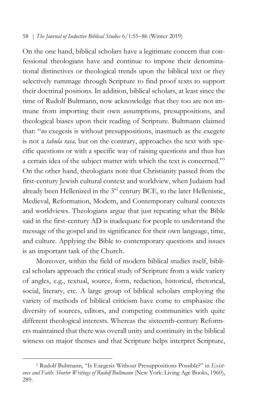On the one hand, biblical scholars have a legitimate concern that confessional theologians have and continue to impose their denominational distinctives or theological trends upon the biblical text or they selectively rummage through Scripture to find proof texts to support their doctrinal positions. In addition, biblical scholars, at least since the time of Rudolf Bultmann, now acknowledge that they too are not immune from importing their own assumptions, presuppositions, and theological biases upon their reading of Scripture. Bultmann claimed that: "*no* exegesis is without presuppositions, inasmuch as the exegete is not a *tabula rasa,* but on the contrary, approaches the text with specific questions or with a specific way of raising questions and thus has a certain idea of the subject matter with which the text is concerned."3 On the other hand, theologians note that Christianity passed from the first-century Jewish cultural context and worldview, when Judaism had already been Hellenized in the 3<sup>rd</sup> century BCE, to the later Hellenistic, Medieval, Reformation, Modern, and Contemporary cultural contexts and worldviews. Theologians argue that just repeating what the Bible said in the first-century AD is inadequate for people to understand the message of the gospel and its significance for their own language, time, and culture. Applying the Bible to contemporary questions and issues is an important task of the Church.

Moreover, within the field of modern biblical studies itself, biblical scholars approach the critical study of Scripture from a wide variety of angles, e.g., textual, source, form, redaction, historical, rhetorical, social, literary, etc. A large group of biblical scholars employing the variety of methods of biblical criticism have come to emphasize the diversity of sources, editors, and competing communities with quite different theological interests. Whereas the sixteenth-century Reformers maintained that there was overall unity and continuity in the biblical witness on major themes and that Scripture helps interpret Scripture,

<sup>3</sup> Rudolf Bultmann, "Is Exegesis Without Presuppositions Possible?" in *Existence and Faith: Shorter Writings of Rudolf Bultmann* (New York: Living Age Books, 1960), 289.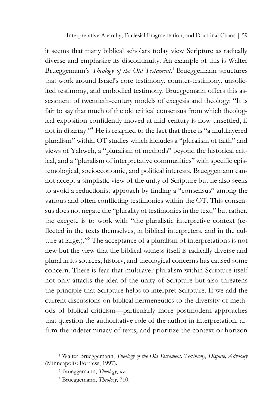it seems that many biblical scholars today view Scripture as radically diverse and emphasize its discontinuity. An example of this is Walter Brueggemann's *Theology of the Old Testament.* <sup>4</sup> Brueggemann structures that work around Israel's core testimony, counter-testimony, unsolicited testimony, and embodied testimony. Brueggemann offers this assessment of twentieth-century models of exegesis and theology: "It is fair to say that much of the old critical consensus from which theological exposition confidently moved at mid-century is now unsettled, if not in disarray."5 He is resigned to the fact that there is "a multilayered pluralism" within OT studies which includes a "pluralism of faith" and views of Yahweh, a "pluralism of methods" beyond the historical critical, and a "pluralism of interpretative communities" with specific epistemological, socioeconomic, and political interests. Brueggemann cannot accept a simplistic view of the unity of Scripture but he also seeks to avoid a reductionist approach by finding a "consensus" among the various and often conflicting testimonies within the OT. This consensus does not negate the "plurality of testimonies in the text," but rather, the exegete is to work with "the pluralistic interpretive context (reflected in the texts themselves, in biblical interpreters, and in the culture at large.)."6 The acceptance of a pluralism of interpretations is not new but the view that the biblical witness itself is radically diverse and plural in its sources, history, and theological concerns has caused some concern. There is fear that multilayer pluralism within Scripture itself not only attacks the idea of the unity of Scripture but also threatens the principle that Scripture helps to interpret Scripture. If we add the current discussions on biblical hermeneutics to the diversity of methods of biblical criticism—particularly more postmodern approaches that question the authoritative role of the author in interpretation, affirm the indeterminacy of texts, and prioritize the context or horizon

<sup>4</sup> Walter Brueggemann, *Theology of the Old Testament: Testimony, Dispute, Advocacy* (Minneapolis: Fortress, 1997).

<sup>5</sup> Brueggemann, *Theology*, xv.

<sup>6</sup> Brueggemann, *Theology*, 710.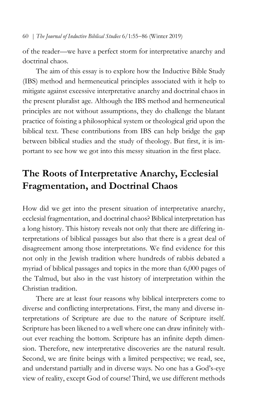of the reader—we have a perfect storm for interpretative anarchy and doctrinal chaos.

The aim of this essay is to explore how the Inductive Bible Study (IBS) method and hermeneutical principles associated with it help to mitigate against excessive interpretative anarchy and doctrinal chaos in the present pluralist age. Although the IBS method and hermeneutical principles are not without assumptions, they do challenge the blatant practice of foisting a philosophical system or theological grid upon the biblical text. These contributions from IBS can help bridge the gap between biblical studies and the study of theology. But first, it is important to see how we got into this messy situation in the first place.

# **The Roots of Interpretative Anarchy, Ecclesial Fragmentation, and Doctrinal Chaos**

How did we get into the present situation of interpretative anarchy, ecclesial fragmentation, and doctrinal chaos? Biblical interpretation has a long history. This history reveals not only that there are differing interpretations of biblical passages but also that there is a great deal of disagreement among those interpretations. We find evidence for this not only in the Jewish tradition where hundreds of rabbis debated a myriad of biblical passages and topics in the more than 6,000 pages of the Talmud, but also in the vast history of interpretation within the Christian tradition.

There are at least four reasons why biblical interpreters come to diverse and conflicting interpretations. First, the many and diverse interpretations of Scripture are due to the nature of Scripture itself. Scripture has been likened to a well where one can draw infinitely without ever reaching the bottom. Scripture has an infinite depth dimension. Therefore, new interpretative discoveries are the natural result. Second, we are finite beings with a limited perspective; we read, see, and understand partially and in diverse ways. No one has a God's-eye view of reality, except God of course! Third, we use different methods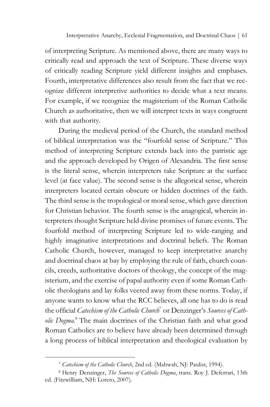of interpreting Scripture. As mentioned above, there are many ways to critically read and approach the text of Scripture. These diverse ways of critically reading Scripture yield different insights and emphases. Fourth, interpretative differences also result from the fact that we recognize different interpretive authorities to decide what a text means. For example, if we recognize the magisterium of the Roman Catholic Church as authoritative, then we will interpret texts in ways congruent with that authority.

During the medieval period of the Church, the standard method of biblical interpretation was the "fourfold sense of Scripture." This method of interpreting Scripture extends back into the patristic age and the approach developed by Origen of Alexandria. The first sense is the literal sense, wherein interpreters take Scripture at the surface level (at face value). The second sense is the allegorical sense, wherein interpreters located certain obscure or hidden doctrines of the faith. The third sense is the tropological or moral sense, which gave direction for Christian behavior. The fourth sense is the anagogical, wherein interpreters thought Scripture held divine promises of future events. The fourfold method of interpreting Scripture led to wide-ranging and highly imaginative interpretations and doctrinal beliefs. The Roman Catholic Church, however, managed to keep interpretative anarchy and doctrinal chaos at bay by employing the rule of faith, church councils, creeds, authoritative doctors of theology, the concept of the magisterium, and the exercise of papal authority even if some Roman Catholic theologians and lay folks veered away from these norms. Today, if anyone wants to know what the RCC believes, all one has to do is read the official *Catechism of the Catholic Church*<sup>7</sup> or Denzinger's *Sources of Catholic Dogma.* <sup>8</sup> The main doctrines of the Christian faith and what good Roman Catholics are to believe have already been determined through a long process of biblical interpretation and theological evaluation by

<sup>7</sup> *Catechism of the Catholic Church*, 2nd ed. (Mahwah, NJ: Paulist, 1994).

<sup>8</sup> Henry Denzinger, *The Sources of Catholic Dogma*, trans. Roy J. Deferrari, 13th ed. (Fitzwilliam, NH: Loreto, 2007).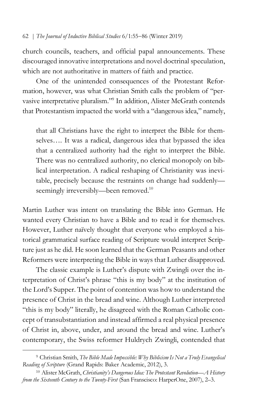church councils, teachers, and official papal announcements. These discouraged innovative interpretations and novel doctrinal speculation, which are not authoritative in matters of faith and practice.

One of the unintended consequences of the Protestant Reformation, however, was what Christian Smith calls the problem of "pervasive interpretative pluralism."9 In addition, Alister McGrath contends that Protestantism impacted the world with a "dangerous idea," namely,

that all Christians have the right to interpret the Bible for themselves…. It was a radical, dangerous idea that bypassed the idea that a centralized authority had the right to interpret the Bible. There was no centralized authority, no clerical monopoly on biblical interpretation. A radical reshaping of Christianity was inevitable, precisely because the restraints on change had suddenly seemingly irreversibly—been removed.<sup>10</sup>

Martin Luther was intent on translating the Bible into German. He wanted every Christian to have a Bible and to read it for themselves. However, Luther naïvely thought that everyone who employed a historical grammatical surface reading of Scripture would interpret Scripture just as he did. He soon learned that the German Peasants and other Reformers were interpreting the Bible in ways that Luther disapproved.

The classic example is Luther's dispute with Zwingli over the interpretation of Christ's phrase "this is my body" at the institution of the Lord's Supper. The point of contention was how to understand the presence of Christ in the bread and wine. Although Luther interpreted "this is my body" literally, he disagreed with the Roman Catholic concept of transubstantiation and instead affirmed a real physical presence of Christ in, above, under, and around the bread and wine. Luther's contemporary, the Swiss reformer Huldrych Zwingli, contended that

<sup>9</sup> Christian Smith, *The Bible Made Impossible: Why Biblicism Is Not a Truly Evangelical Reading of Scripture* (Grand Rapids: Baker Academic, 2012), 3.

<sup>10</sup> Alister McGrath, *Christianity's Dangerous Idea: The Protestant Revolution—A History from the Sixteenth Century to the Twenty-First* (San Franscisco: HarperOne, 2007), 2–3.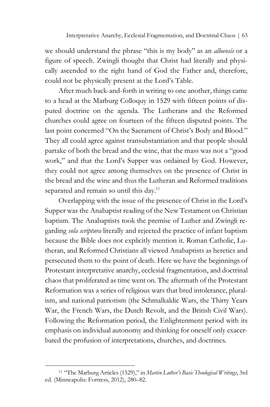we should understand the phrase "this is my body" as an *alloeosis* or a figure of speech. Zwingli thought that Christ had literally and physically ascended to the right hand of God the Father and, therefore, could not be physically present at the Lord's Table.

After much back-and-forth in writing to one another, things came to a head at the Marburg Colloquy in 1529 with fifteen points of disputed doctrine on the agenda. The Lutherans and the Reformed churches could agree on fourteen of the fifteen disputed points. The last point concerned "On the Sacrament of Christ's Body and Blood." They all could agree against transubstantiation and that people should partake of both the bread and the wine, that the mass was not a "good work," and that the Lord's Supper was ordained by God. However, they could not agree among themselves on the presence of Christ in the bread and the wine and thus the Lutheran and Reformed traditions separated and remain so until this day.<sup>11</sup>

Overlapping with the issue of the presence of Christ in the Lord's Supper was the Anabaptist reading of the New Testament on Christian baptism. The Anabaptists took the premise of Luther and Zwingli regarding *sola scriptura* literally and rejected the practice of infant baptism because the Bible does not explicitly mention it. Roman Catholic, Lutheran, and Reformed Christians all viewed Anabaptists as heretics and persecuted them to the point of death. Here we have the beginnings of Protestant interpretative anarchy, ecclesial fragmentation, and doctrinal chaos that proliferated as time went on. The aftermath of the Protestant Reformation was a series of religious wars that bred intolerance, pluralism, and national patriotism (the Schmalkaldic Wars, the Thirty Years War, the French Wars, the Dutch Revolt, and the British Civil Wars). Following the Reformation period, the Enlightenment period with its emphasis on individual autonomy and thinking for oneself only exacerbated the profusion of interpretations, churches, and doctrines.

<sup>11</sup> "The Marburg Articles (1529)," in *Martin Luther's Basic Theological Writings*, 3rd ed. (Minneapolis: Fortress, 2012), 280–82.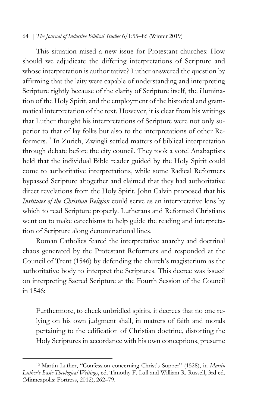This situation raised a new issue for Protestant churches: How should we adjudicate the differing interpretations of Scripture and whose interpretation is authoritative? Luther answered the question by affirming that the laity were capable of understanding and interpreting Scripture rightly because of the clarity of Scripture itself, the illumination of the Holy Spirit, and the employment of the historical and grammatical interpretation of the text. However, it is clear from his writings that Luther thought his interpretations of Scripture were not only superior to that of lay folks but also to the interpretations of other Reformers. <sup>12</sup> In Zurich, Zwingli settled matters of biblical interpretation through debate before the city council. They took a vote! Anabaptists held that the individual Bible reader guided by the Holy Spirit could come to authoritative interpretations, while some Radical Reformers bypassed Scripture altogether and claimed that they had authoritative direct revelations from the Holy Spirit. John Calvin proposed that his *Institutes of the Christian Religion* could serve as an interpretative lens by which to read Scripture properly. Lutherans and Reformed Christians went on to make catechisms to help guide the reading and interpretation of Scripture along denominational lines.

Roman Catholics feared the interpretative anarchy and doctrinal chaos generated by the Protestant Reformers and responded at the Council of Trent (1546) by defending the church's magisterium as the authoritative body to interpret the Scriptures. This decree was issued on interpreting Sacred Scripture at the Fourth Session of the Council in 1546:

Furthermore, to check unbridled spirits, it decrees that no one relying on his own judgment shall, in matters of faith and morals pertaining to the edification of Christian doctrine, distorting the Holy Scriptures in accordance with his own conceptions, presume

<sup>12</sup> Martin Luther, "Confession concerning Christ's Supper" (1528), in *Martin Luther's Basic Theological Writings*, ed. Timothy F. Lull and William R. Russell, 3rd ed. (Minneapolis: Fortress, 2012), 262–79.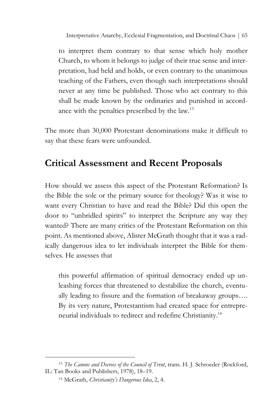Interpretative Anarchy, Ecclesial Fragmentation, and Doctrinal Chaos | 65

to interpret them contrary to that sense which holy mother Church, to whom it belongs to judge of their true sense and interpretation, had held and holds, or even contrary to the unanimous teaching of the Fathers, even though such interpretations should never at any time be published. Those who act contrary to this shall be made known by the ordinaries and punished in accordance with the penalties prescribed by the law.13

The more than 30,000 Protestant denominations make it difficult to say that these fears were unfounded.

## **Critical Assessment and Recent Proposals**

How should we assess this aspect of the Protestant Reformation? Is the Bible the sole or the primary source for theology? Was it wise to want every Christian to have and read the Bible? Did this open the door to "unbridled spirits" to interpret the Scripture any way they wanted? There are many critics of the Protestant Reformation on this point. As mentioned above, Alister McGrath thought that it was a radically dangerous idea to let individuals interpret the Bible for themselves. He assesses that

this powerful affirmation of spiritual democracy ended up unleashing forces that threatened to destabilize the church, eventually leading to fissure and the formation of breakaway groups…. By its very nature, Protestantism had created space for entrepreneurial individuals to redirect and redefine Christianity.14

<sup>13</sup> *The Canons and Decrees of the Council of Trent*, trans. H. J. Schroeder (Rockford, IL: Tan Books and Publishers, 1978), 18–19.

<sup>14</sup> McGrath, *Christianity's Dangerous Idea*, 2, 4.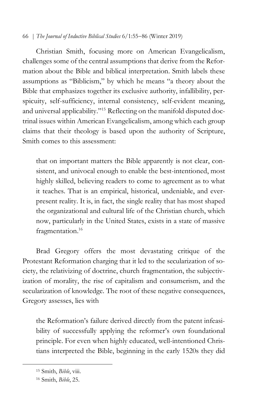Christian Smith, focusing more on American Evangelicalism, challenges some of the central assumptions that derive from the Reformation about the Bible and biblical interpretation. Smith labels these assumptions as "Biblicism," by which he means "a theory about the Bible that emphasizes together its exclusive authority, infallibility, perspicuity, self-sufficiency, internal consistency, self-evident meaning, and universal applicability."15 Reflecting on the manifold disputed doctrinal issues within American Evangelicalism, among which each group claims that their theology is based upon the authority of Scripture, Smith comes to this assessment:

that on important matters the Bible apparently is not clear, consistent, and univocal enough to enable the best-intentioned, most highly skilled, believing readers to come to agreement as to what it teaches. That is an empirical, historical, undeniable, and everpresent reality. It is, in fact, the single reality that has most shaped the organizational and cultural life of the Christian church, which now, particularly in the United States, exists in a state of massive fragmentation.<sup>16</sup>

Brad Gregory offers the most devastating critique of the Protestant Reformation charging that it led to the secularization of society, the relativizing of doctrine, church fragmentation, the subjectivization of morality, the rise of capitalism and consumerism, and the secularization of knowledge. The root of these negative consequences, Gregory assesses, lies with

the Reformation's failure derived directly from the patent infeasibility of successfully applying the reformer's own foundational principle. For even when highly educated, well-intentioned Christians interpreted the Bible, beginning in the early 1520s they did

<sup>15</sup> Smith, *Bible*, viii.

<sup>16</sup> Smith, *Bible*, 25.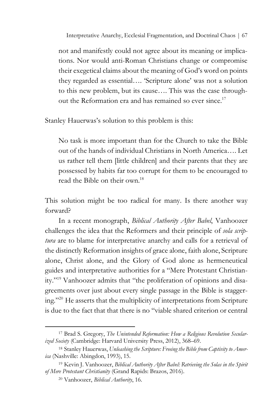Interpretative Anarchy, Ecclesial Fragmentation, and Doctrinal Chaos | 67

not and manifestly could not agree about its meaning or implications. Nor would anti-Roman Christians change or compromise their exegetical claims about the meaning of God's word on points they regarded as essential…. 'Scripture alone' was not a solution to this new problem, but its cause…. This was the case throughout the Reformation era and has remained so ever since.<sup>17</sup>

Stanley Hauerwas's solution to this problem is this:

No task is more important than for the Church to take the Bible out of the hands of individual Christians in North America…. Let us rather tell them [little children] and their parents that they are possessed by habits far too corrupt for them to be encouraged to read the Bible on their own.<sup>18</sup>

This solution might be too radical for many. Is there another way forward?

In a recent monograph, *Biblical Authority After Babel*, Vanhoozer challenges the idea that the Reformers and their principle of *sola scriptura* are to blame for interpretative anarchy and calls for a retrieval of the distinctly Reformation insights of grace alone, faith alone, Scripture alone, Christ alone, and the Glory of God alone as hermeneutical guides and interpretative authorities for a "Mere Protestant Christianity."19 Vanhoozer admits that "the proliferation of opinions and disagreements over just about every single passage in the Bible is staggering."20 He asserts that the multiplicity of interpretations from Scripture is due to the fact that that there is no "viable shared criterion or central

<sup>17</sup> Brad S. Gregory, *The Unintended Reformation: How a Religious Revolution Secularized Society* (Cambridge: Harvard University Press, 2012), 368–69.

<sup>18</sup> Stanley Hauerwas, *Unleashing the Scripture: Freeing the Bible from Captivity to America* (Nashville: Abingdon, 1993), 15.

<sup>19</sup> Kevin J. Vanhoozer, *Biblical Authority After Babel: Retrieving the Solas in the Spirit of Mere Protestant Christianity* (Grand Rapids: Brazos, 2016).

<sup>20</sup> Vanhoozer, *Biblical Authority*, 16.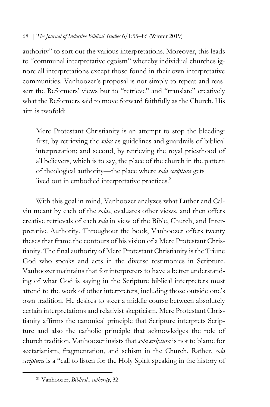authority" to sort out the various interpretations. Moreover, this leads to "communal interpretative egoism" whereby individual churches ignore all interpretations except those found in their own interpretative communities. Vanhoozer's proposal is not simply to repeat and reassert the Reformers' views but to "retrieve" and "translate" creatively what the Reformers said to move forward faithfully as the Church. His aim is twofold:

Mere Protestant Christianity is an attempt to stop the bleeding: first, by retrieving the *solas* as guidelines and guardrails of biblical interpretation; and second, by retrieving the royal priesthood of all believers, which is to say, the place of the church in the pattern of theological authority—the place where *sola scriptura* gets lived out in embodied interpretative practices.<sup>21</sup>

With this goal in mind, Vanhoozer analyzes what Luther and Calvin meant by each of the *solas*, evaluates other views, and then offers creative retrievals of each *sola* in view of the Bible, Church, and Interpretative Authority. Throughout the book, Vanhoozer offers twenty theses that frame the contours of his vision of a Mere Protestant Christianity. The final authority of Mere Protestant Christianity is the Triune God who speaks and acts in the diverse testimonies in Scripture. Vanhoozer maintains that for interpreters to have a better understanding of what God is saying in the Scripture biblical interpreters must attend to the work of other interpreters, including those outside one's own tradition. He desires to steer a middle course between absolutely certain interpretations and relativist skepticism. Mere Protestant Christianity affirms the canonical principle that Scripture interprets Scripture and also the catholic principle that acknowledges the role of church tradition. Vanhoozer insists that *sola scriptura* is not to blame for sectarianism, fragmentation, and schism in the Church. Rather, *sola scriptura* is a "call to listen for the Holy Spirit speaking in the history of

<sup>21</sup> Vanhoozer, *Biblical Authority*, 32.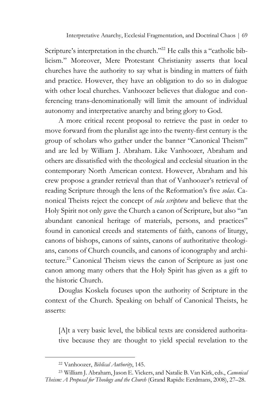Scripture's interpretation in the church."<sup>22</sup> He calls this a "catholic biblicism." Moreover, Mere Protestant Christianity asserts that local churches have the authority to say what is binding in matters of faith and practice. However, they have an obligation to do so in dialogue with other local churches. Vanhoozer believes that dialogue and conferencing trans-denominationally will limit the amount of individual autonomy and interpretative anarchy and bring glory to God.

A more critical recent proposal to retrieve the past in order to move forward from the pluralist age into the twenty-first century is the group of scholars who gather under the banner "Canonical Theism" and are led by William J. Abraham. Like Vanhoozer, Abraham and others are dissatisfied with the theological and ecclesial situation in the contemporary North American context. However, Abraham and his crew propose a grander retrieval than that of Vanhoozer's retrieval of reading Scripture through the lens of the Reformation's five *solas*. Canonical Theists reject the concept of *sola scriptura* and believe that the Holy Spirit not only gave the Church a canon of Scripture, but also "an abundant canonical heritage of materials, persons, and practices" found in canonical creeds and statements of faith, canons of liturgy, canons of bishops, canons of saints, canons of authoritative theologians, canons of Church councils, and canons of iconography and architecture.23 Canonical Theism views the canon of Scripture as just one canon among many others that the Holy Spirit has given as a gift to the historic Church.

Douglas Koskela focuses upon the authority of Scripture in the context of the Church. Speaking on behalf of Canonical Theists, he asserts:

[A]t a very basic level, the biblical texts are considered authoritative because they are thought to yield special revelation to the

<sup>22</sup> Vanhoozer, *Biblical Authority*, 145.

<sup>23</sup> William J. Abraham, Jason E. Vickers, and Natalie B. Van Kirk, eds., *Canonical Theism: A Proposal for Theology and the Church* (Grand Rapids: Eerdmans, 2008), 27–28.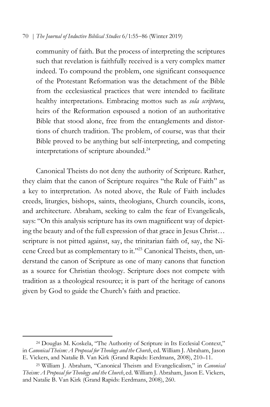community of faith. But the process of interpreting the scriptures such that revelation is faithfully received is a very complex matter indeed. To compound the problem, one significant consequence of the Protestant Reformation was the detachment of the Bible from the ecclesiastical practices that were intended to facilitate healthy interpretations. Embracing mottos such as *sola scriptura*, heirs of the Reformation espoused a notion of an authoritative Bible that stood alone, free from the entanglements and distortions of church tradition. The problem, of course, was that their Bible proved to be anything but self-interpreting, and competing interpretations of scripture abounded.<sup>24</sup>

Canonical Theists do not deny the authority of Scripture. Rather, they claim that the canon of Scripture requires "the Rule of Faith" as a key to interpretation. As noted above, the Rule of Faith includes creeds, liturgies, bishops, saints, theologians, Church councils, icons, and architecture. Abraham, seeking to calm the fear of Evangelicals, says: "On this analysis scripture has its own magnificent way of depicting the beauty and of the full expression of that grace in Jesus Christ… scripture is not pitted against, say, the trinitarian faith of, say, the Nicene Creed but as complementary to it."25 Canonical Theists, then, understand the canon of Scripture as one of many canons that function as a source for Christian theology. Scripture does not compete with tradition as a theological resource; it is part of the heritage of canons given by God to guide the Church's faith and practice.

<sup>24</sup> Douglas M. Koskela, "The Authority of Scripture in Its Ecclesial Context," in *Canonical Theism: A Proposal for Theology and the Church*, ed. William J. Abraham, Jason E. Vickers, and Natalie B. Van Kirk (Grand Rapids: Eerdmans, 2008), 210–11.

<sup>25</sup> William J. Abraham, "Canonical Theism and Evangelicalism," in *Canonical Theism: A Proposal for Theology and the Church*, ed. William J. Abraham, Jason E. Vickers, and Natalie B. Van Kirk (Grand Rapids: Eerdmans, 2008), 260.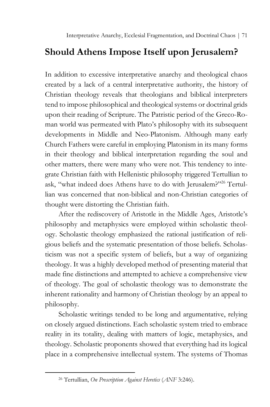# **Should Athens Impose Itself upon Jerusalem?**

In addition to excessive interpretative anarchy and theological chaos created by a lack of a central interpretative authority, the history of Christian theology reveals that theologians and biblical interpreters tend to impose philosophical and theological systems or doctrinal grids upon their reading of Scripture. The Patristic period of the Greco-Roman world was permeated with Plato's philosophy with its subsequent developments in Middle and Neo-Platonism. Although many early Church Fathers were careful in employing Platonism in its many forms in their theology and biblical interpretation regarding the soul and other matters, there were many who were not. This tendency to integrate Christian faith with Hellenistic philosophy triggered Tertullian to ask, "what indeed does Athens have to do with Jerusalem?"<sup>26</sup> Tertullian was concerned that non-biblical and non-Christian categories of thought were distorting the Christian faith.

After the rediscovery of Aristotle in the Middle Ages, Aristotle's philosophy and metaphysics were employed within scholastic theology. Scholastic theology emphasized the rational justification of religious beliefs and the systematic presentation of those beliefs. Scholasticism was not a specific system of beliefs, but a way of organizing theology. It was a highly developed method of presenting material that made fine distinctions and attempted to achieve a comprehensive view of theology. The goal of scholastic theology was to demonstrate the inherent rationality and harmony of Christian theology by an appeal to philosophy.

Scholastic writings tended to be long and argumentative, relying on closely argued distinctions. Each scholastic system tried to embrace reality in its totality, dealing with matters of logic, metaphysics, and theology. Scholastic proponents showed that everything had its logical place in a comprehensive intellectual system. The systems of Thomas

<sup>26</sup> Tertullian, *On Prescription Against Heretics* (*ANF* 3:246).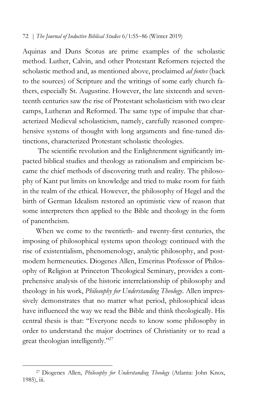Aquinas and Duns Scotus are prime examples of the scholastic method. Luther, Calvin, and other Protestant Reformers rejected the scholastic method and, as mentioned above, proclaimed *ad fontes* (back to the sources) of Scripture and the writings of some early church fathers, especially St. Augustine. However, the late sixteenth and seventeenth centuries saw the rise of Protestant scholasticism with two clear camps, Lutheran and Reformed. The same type of impulse that characterized Medieval scholasticism, namely, carefully reasoned comprehensive systems of thought with long arguments and fine-tuned distinctions, characterized Protestant scholastic theologies.

The scientific revolution and the Enlightenment significantly impacted biblical studies and theology as rationalism and empiricism became the chief methods of discovering truth and reality. The philosophy of Kant put limits on knowledge and tried to make room for faith in the realm of the ethical. However, the philosophy of Hegel and the birth of German Idealism restored an optimistic view of reason that some interpreters then applied to the Bible and theology in the form of panentheism.

When we come to the twentieth- and twenty-first centuries, the imposing of philosophical systems upon theology continued with the rise of existentialism, phenomenology, analytic philosophy, and postmodern hermeneutics. Diogenes Allen, Emeritus Professor of Philosophy of Religion at Princeton Theological Seminary, provides a comprehensive analysis of the historic interrelationship of philosophy and theology in his work, *Philosophy for Understanding Theology*. Allen impressively demonstrates that no matter what period, philosophical ideas have influenced the way we read the Bible and think theologically. His central thesis is that: "Everyone needs to know some philosophy in order to understand the major doctrines of Christianity or to read a great theologian intelligently."<sup>27</sup>

<sup>27</sup> Diogenes Allen, *Philosophy for Understanding Theology* (Atlanta: John Knox, 1985), iii.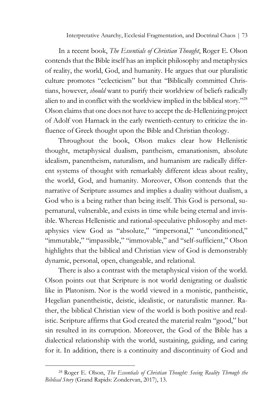In a recent book, *The Essentials of Christian Thought*, Roger E. Olson contends that the Bible itself has an implicit philosophy and metaphysics of reality, the world, God, and humanity. He argues that our pluralistic culture promotes "eclecticism" but that "Biblically committed Christians, however, *should* want to purify their worldview of beliefs radically alien to and in conflict with the worldview implied in the biblical story."28 Olson claims that one does not have to accept the de-Hellenizing project of Adolf von Harnack in the early twentieth-century to criticize the influence of Greek thought upon the Bible and Christian theology.

Throughout the book, Olson makes clear how Hellenistic thought, metaphysical dualism, pantheism, emanationism, absolute idealism, panentheism, naturalism, and humanism are radically different systems of thought with remarkably different ideas about reality, the world, God, and humanity. Moreover, Olson contends that the narrative of Scripture assumes and implies a duality without dualism, a God who is a being rather than being itself. This God is personal, supernatural, vulnerable, and exists in time while being eternal and invisible. Whereas Hellenistic and rational-speculative philosophy and metaphysics view God as "absolute," "impersonal," "unconditioned," "immutable," "impassible," "immovable," and "self-sufficient," Olson highlights that the biblical and Christian view of God is demonstrably dynamic, personal, open, changeable, and relational.

There is also a contrast with the metaphysical vision of the world. Olson points out that Scripture is not world denigrating or dualistic like in Platonism. Nor is the world viewed in a monistic, pantheistic, Hegelian panentheistic, deistic, idealistic, or naturalistic manner. Rather, the biblical Christian view of the world is both positive and realistic. Scripture affirms that God created the material realm "good," but sin resulted in its corruption. Moreover, the God of the Bible has a dialectical relationship with the world, sustaining, guiding, and caring for it. In addition, there is a continuity and discontinuity of God and

<sup>28</sup> Roger E. Olson, *The Essentials of Christian Thought: Seeing Reality Through the Biblical Story* (Grand Rapids: Zondervan, 2017), 13.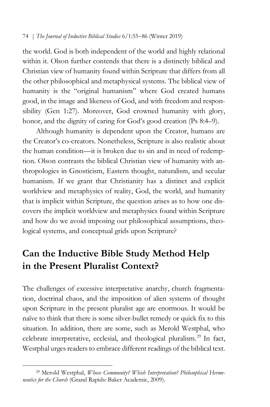the world. God is both independent of the world and highly relational within it. Olson further contends that there is a distinctly biblical and Christian view of humanity found within Scripture that differs from all the other philosophical and metaphysical systems. The biblical view of humanity is the "original humanism" where God created humans good, in the image and likeness of God, and with freedom and responsibility (Gen 1:27). Moreover, God crowned humanity with glory, honor, and the dignity of caring for God's good creation (Ps 8:4–9).

Although humanity is dependent upon the Creator, humans are the Creator's co-creators. Nonetheless, Scripture is also realistic about the human condition—it is broken due to sin and in need of redemption. Olson contrasts the biblical Christian view of humanity with anthropologies in Gnosticism, Eastern thought, naturalism, and secular humanism. If we grant that Christianity has a distinct and explicit worldview and metaphysics of reality, God, the world, and humanity that is implicit within Scripture, the question arises as to how one discovers the implicit worldview and metaphysics found within Scripture and how do we avoid imposing our philosophical assumptions, theological systems, and conceptual grids upon Scripture?

# **Can the Inductive Bible Study Method Help in the Present Pluralist Context?**

The challenges of excessive interpretative anarchy, church fragmentation, doctrinal chaos, and the imposition of alien systems of thought upon Scripture in the present pluralist age are enormous. It would be naïve to think that there is some silver-bullet remedy or quick fix to this situation. In addition, there are some, such as Merold Westphal, who celebrate interpretative, ecclesial, and theological pluralism. <sup>29</sup> In fact, Westphal urges readers to embrace different readings of the biblical text.

<sup>29</sup> Merold Westphal, *Whose Community? Which Interpretation? Philosophical Hermeneutics for the Church* (Grand Rapids: Baker Academic, 2009).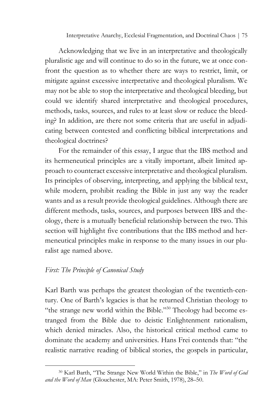Acknowledging that we live in an interpretative and theologically pluralistic age and will continue to do so in the future, we at once confront the question as to whether there are ways to restrict, limit, or mitigate against excessive interpretative and theological pluralism. We may not be able to stop the interpretative and theological bleeding, but could we identify shared interpretative and theological procedures, methods, tasks, sources, and rules to at least slow or reduce the bleeding? In addition, are there not some criteria that are useful in adjudicating between contested and conflicting biblical interpretations and theological doctrines?

For the remainder of this essay, I argue that the IBS method and its hermeneutical principles are a vitally important, albeit limited approach to counteract excessive interpretative and theological pluralism. Its principles of observing, interpreting, and applying the biblical text, while modern, prohibit reading the Bible in just any way the reader wants and as a result provide theological guidelines. Although there are different methods, tasks, sources, and purposes between IBS and theology, there is a mutually beneficial relationship between the two. This section will highlight five contributions that the IBS method and hermeneutical principles make in response to the many issues in our pluralist age named above.

## *First: The Principle of Canonical Study*

 $\overline{a}$ 

Karl Barth was perhaps the greatest theologian of the twentieth-century. One of Barth's legacies is that he returned Christian theology to "the strange new world within the Bible."<sup>30</sup> Theology had become estranged from the Bible due to deistic Enlightenment rationalism, which denied miracles. Also, the historical critical method came to dominate the academy and universities. Hans Frei contends that: "the realistic narrative reading of biblical stories, the gospels in particular,

<sup>30</sup> Karl Barth, "The Strange New World Within the Bible," in *The Word of God and the Word of Man* (Glouchester, MA: Peter Smith, 1978), 28–50.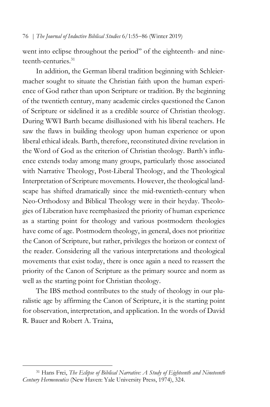went into eclipse throughout the period" of the eighteenth- and nineteenth-centuries<sup>31</sup>

In addition, the German liberal tradition beginning with Schleiermacher sought to situate the Christian faith upon the human experience of God rather than upon Scripture or tradition. By the beginning of the twentieth century, many academic circles questioned the Canon of Scripture or sidelined it as a credible source of Christian theology. During WWI Barth became disillusioned with his liberal teachers. He saw the flaws in building theology upon human experience or upon liberal ethical ideals. Barth, therefore, reconstituted divine revelation in the Word of God as the criterion of Christian theology. Barth's influence extends today among many groups, particularly those associated with Narrative Theology, Post-Liberal Theology, and the Theological Interpretation of Scripture movements. However, the theological landscape has shifted dramatically since the mid-twentieth-century when Neo-Orthodoxy and Biblical Theology were in their heyday. Theologies of Liberation have reemphasized the priority of human experience as a starting point for theology and various postmodern theologies have come of age. Postmodern theology, in general, does not prioritize the Canon of Scripture, but rather, privileges the horizon or context of the reader. Considering all the various interpretations and theological movements that exist today, there is once again a need to reassert the priority of the Canon of Scripture as the primary source and norm as well as the starting point for Christian theology.

The IBS method contributes to the study of theology in our pluralistic age by affirming the Canon of Scripture, it is the starting point for observation, interpretation, and application. In the words of David R. Bauer and Robert A. Traina,

<sup>31</sup> Hans Frei, *The Eclipse of Biblical Narrative: A Study of Eighteenth and Nineteenth Century Hermeneutics* (New Haven: Yale University Press, 1974), 324.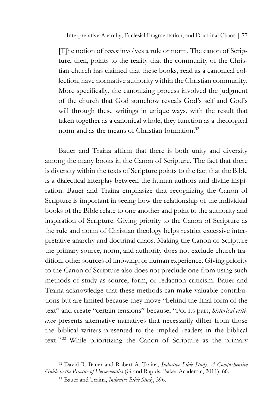Interpretative Anarchy, Ecclesial Fragmentation, and Doctrinal Chaos | 77

[T]he notion of *canon* involves a rule or norm. The canon of Scripture, then, points to the reality that the community of the Christian church has claimed that these books, read as a canonical collection, have normative authority within the Christian community. More specifically, the canonizing process involved the judgment of the church that God somehow reveals God's self and God's will through these writings in unique ways, with the result that taken together as a canonical whole, they function as a theological norm and as the means of Christian formation.<sup>32</sup>

Bauer and Traina affirm that there is both unity and diversity among the many books in the Canon of Scripture. The fact that there is diversity within the texts of Scripture points to the fact that the Bible is a dialectical interplay between the human authors and divine inspiration. Bauer and Traina emphasize that recognizing the Canon of Scripture is important in seeing how the relationship of the individual books of the Bible relate to one another and point to the authority and inspiration of Scripture. Giving priority to the Canon of Scripture as the rule and norm of Christian theology helps restrict excessive interpretative anarchy and doctrinal chaos. Making the Canon of Scripture the primary source, norm, and authority does not exclude church tradition, other sources of knowing, or human experience. Giving priority to the Canon of Scripture also does not preclude one from using such methods of study as source, form, or redaction criticism. Bauer and Traina acknowledge that these methods can make valuable contributions but are limited because they move "behind the final form of the text" and create "certain tensions" because, "For its part, *historical criticism* presents alternative narratives that necessarily differ from those the biblical writers presented to the implied readers in the biblical text." <sup>33</sup> While prioritizing the Canon of Scripture as the primary

<sup>32</sup> David R. Bauer and Robert A. Traina, *Inductive Bible Study: A Comprehensive Guide to the Practice of Hermeneutics* (Grand Rapids: Baker Academic, 2011), 66.

<sup>33</sup> Bauer and Traina, *Inductive Bible Study*, 396.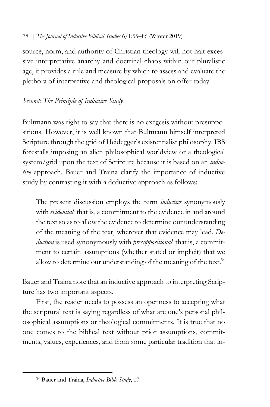source, norm, and authority of Christian theology will not halt excessive interpretative anarchy and doctrinal chaos within our pluralistic age, it provides a rule and measure by which to assess and evaluate the plethora of interpretive and theological proposals on offer today.

## *Second: The Principle of Inductive Study*

Bultmann was right to say that there is no exegesis without presuppositions. However, it is well known that Bultmann himself interpreted Scripture through the grid of Heidegger's existentialist philosophy. IBS forestalls imposing an alien philosophical worldview or a theological system/grid upon the text of Scripture because it is based on an *inductive* approach. Bauer and Traina clarify the importance of inductive study by contrasting it with a deductive approach as follows:

The present discussion employs the term *inductive* synonymously with *evidential*: that is, a commitment to the evidence in and around the text so as to allow the evidence to determine our understanding of the meaning of the text, wherever that evidence may lead. *Deduction* is used synonymously with *presuppositional*: that is, a commitment to certain assumptions (whether stated or implicit) that we allow to determine our understanding of the meaning of the text. $34$ 

Bauer and Traina note that an inductive approach to interpreting Scripture has two important aspects.

First, the reader needs to possess an openness to accepting what the scriptural text is saying regardless of what are one's personal philosophical assumptions or theological commitments. It is true that no one comes to the biblical text without prior assumptions, commitments, values, experiences, and from some particular tradition that in-

<sup>34</sup> Bauer and Traina, *Inductive Bible Study*, 17.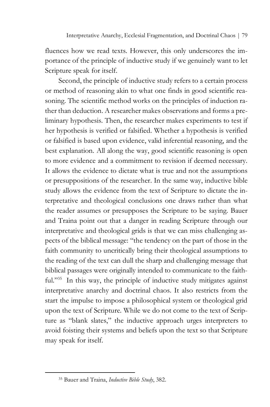fluences how we read texts. However, this only underscores the importance of the principle of inductive study if we genuinely want to let Scripture speak for itself.

Second, the principle of inductive study refers to a certain process or method of reasoning akin to what one finds in good scientific reasoning. The scientific method works on the principles of induction rather than deduction. A researcher makes observations and forms a preliminary hypothesis. Then, the researcher makes experiments to test if her hypothesis is verified or falsified. Whether a hypothesis is verified or falsified is based upon evidence, valid inferential reasoning, and the best explanation. All along the way, good scientific reasoning is open to more evidence and a commitment to revision if deemed necessary. It allows the evidence to dictate what is true and not the assumptions or presuppositions of the researcher. In the same way, inductive bible study allows the evidence from the text of Scripture to dictate the interpretative and theological conclusions one draws rather than what the reader assumes or presupposes the Scripture to be saying. Bauer and Traina point out that a danger in reading Scripture through our interpretative and theological grids is that we can miss challenging aspects of the biblical message: "the tendency on the part of those in the faith community to uncritically bring their theological assumptions to the reading of the text can dull the sharp and challenging message that biblical passages were originally intended to communicate to the faithful."<sup>35</sup> In this way, the principle of inductive study mitigates against interpretative anarchy and doctrinal chaos. It also restricts from the start the impulse to impose a philosophical system or theological grid upon the text of Scripture. While we do not come to the text of Scripture as "blank slates," the inductive approach urges interpreters to avoid foisting their systems and beliefs upon the text so that Scripture may speak for itself.

<sup>35</sup> Bauer and Traina, *Inductive Bible Study*, 382.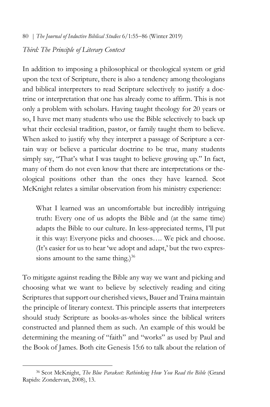### *Third: The Principle of Literary Context*

In addition to imposing a philosophical or theological system or grid upon the text of Scripture, there is also a tendency among theologians and biblical interpreters to read Scripture selectively to justify a doctrine or interpretation that one has already come to affirm. This is not only a problem with scholars. Having taught theology for 20 years or so, I have met many students who use the Bible selectively to back up what their ecclesial tradition, pastor, or family taught them to believe. When asked to justify why they interpret a passage of Scripture a certain way or believe a particular doctrine to be true, many students simply say, "That's what I was taught to believe growing up." In fact, many of them do not even know that there are interpretations or theological positions other than the ones they have learned. Scot McKnight relates a similar observation from his ministry experience:

What I learned was an uncomfortable but incredibly intriguing truth: Every one of us adopts the Bible and (at the same time) adapts the Bible to our culture. In less-appreciated terms, I'll put it this way: Everyone picks and chooses…. We pick and choose. (It's easier for us to hear 'we adopt and adapt,' but the two expressions amount to the same thing.) $36$ 

To mitigate against reading the Bible any way we want and picking and choosing what we want to believe by selectively reading and citing Scriptures that support our cherished views, Bauer and Traina maintain the principle of literary context. This principle asserts that interpreters should study Scripture as books-as-wholes since the biblical writers constructed and planned them as such. An example of this would be determining the meaning of "faith" and "works" as used by Paul and the Book of James. Both cite Genesis 15:6 to talk about the relation of

<sup>36</sup> Scot McKnight, *The Blue Parakeet: Rethinking How You Read the Bible* (Grand Rapids: Zondervan, 2008), 13.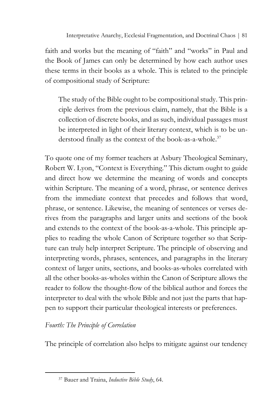faith and works but the meaning of "faith" and "works" in Paul and the Book of James can only be determined by how each author uses these terms in their books as a whole. This is related to the principle of compositional study of Scripture:

The study of the Bible ought to be compositional study. This principle derives from the previous claim, namely, that the Bible is a collection of discrete books, and as such, individual passages must be interpreted in light of their literary context, which is to be understood finally as the context of the book-as-a-whole.<sup>37</sup>

To quote one of my former teachers at Asbury Theological Seminary, Robert W. Lyon, "Context is Everything." This dictum ought to guide and direct how we determine the meaning of words and concepts within Scripture. The meaning of a word, phrase, or sentence derives from the immediate context that precedes and follows that word, phrase, or sentence. Likewise, the meaning of sentences or verses derives from the paragraphs and larger units and sections of the book and extends to the context of the book-as-a-whole. This principle applies to reading the whole Canon of Scripture together so that Scripture can truly help interpret Scripture. The principle of observing and interpreting words, phrases, sentences, and paragraphs in the literary context of larger units, sections, and books-as-wholes correlated with all the other books-as-wholes within the Canon of Scripture allows the reader to follow the thought-flow of the biblical author and forces the interpreter to deal with the whole Bible and not just the parts that happen to support their particular theological interests or preferences.

## *Fourth: The Principle of Correlation*

 $\overline{a}$ 

The principle of correlation also helps to mitigate against our tendency

<sup>37</sup> Bauer and Traina, *Inductive Bible Study*, 64.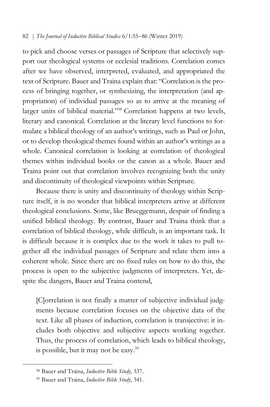to pick and choose verses or passages of Scripture that selectively support our theological systems or ecclesial traditions. Correlation comes after we have observed, interpreted, evaluated, and appropriated the text of Scripture. Bauer and Traina explain that: "Correlation is the process of bringing together, or synthesizing, the interpretation (and appropriation) of individual passages so as to arrive at the meaning of larger units of biblical material."<sup>38</sup> Correlation happens at two levels, literary and canonical. Correlation at the literary level functions to formulate a biblical theology of an author's writings, such as Paul or John, or to develop theological themes found within an author's writings as a whole. Canonical correlation is looking at correlation of theological themes within individual books or the canon as a whole. Bauer and Traina point out that correlation involves recognizing both the unity and discontinuity of theological viewpoints within Scripture.

Because there is unity and discontinuity of theology within Scripture itself, it is no wonder that biblical interpreters arrive at different theological conclusions. Some, like Brueggemann, despair of finding a unified biblical theology. By contrast, Bauer and Traina think that a correlation of biblical theology, while difficult, is an important task. It is difficult because it is complex due to the work it takes to pull together all the individual passages of Scripture and relate them into a coherent whole. Since there are no fixed rules on how to do this, the process is open to the subjective judgments of interpreters. Yet, despite the dangers, Bauer and Traina contend,

[C]orrelation is not finally a matter of subjective individual judgments because correlation focuses on the objective data of the text. Like all phases of induction, correlation is transjective: it includes both objective and subjective aspects working together. Thus, the process of correlation, which leads to biblical theology, is possible, but it may not be easy.39

<sup>38</sup> Bauer and Traina, *Inductive Bible Study*, 337.

<sup>39</sup> Bauer and Traina, *Inductive Bible Study*, 341.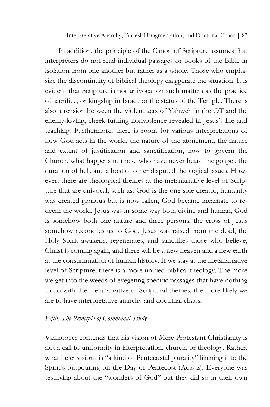Interpretative Anarchy, Ecclesial Fragmentation, and Doctrinal Chaos | 83

In addition, the principle of the Canon of Scripture assumes that interpreters do not read individual passages or books of the Bible in isolation from one another but rather as a whole. Those who emphasize the discontinuity of biblical theology exaggerate the situation. It is evident that Scripture is not univocal on such matters as the practice of sacrifice, or kingship in Israel, or the status of the Temple. There is also a tension between the violent acts of Yahweh in the OT and the enemy-loving, cheek-turning nonviolence revealed in Jesus's life and teaching. Furthermore, there is room for various interpretations of how God acts in the world, the nature of the atonement, the nature and extent of justification and sanctification, how to govern the Church, what happens to those who have never heard the gospel, the duration of hell, and a host of other disputed theological issues. However, there are theological themes at the metanarrative level of Scripture that are univocal, such as: God is the one sole creator, humanity was created glorious but is now fallen, God became incarnate to redeem the world, Jesus was in some way both divine and human, God is somehow both one nature and three persons, the cross of Jesus somehow reconciles us to God, Jesus was raised from the dead, the Holy Spirit awakens, regenerates, and sanctifies those who believe, Christ is coming again, and there will be a new heaven and a new earth at the consummation of human history. If we stay at the metanarrative level of Scripture, there is a more unified biblical theology. The more we get into the weeds of exegeting specific passages that have nothing to do with the metanarrative of Scriptural themes, the more likely we are to have interpretative anarchy and doctrinal chaos.

## *Fifth: The Principle of Communal Study*

Vanhoozer contends that his vision of Mere Protestant Christianity is not a call to uniformity in interpretation, church, or theology. Rather, what he envisions is "a kind of Pentecostal plurality" likening it to the Spirit's outpouring on the Day of Pentecost (Acts 2). Everyone was testifying about the "wonders of God" but they did so in their own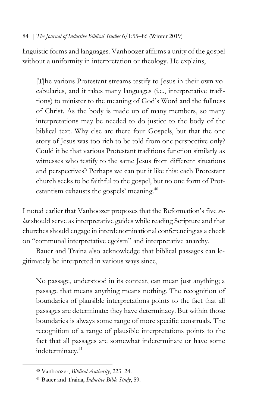linguistic forms and languages. Vanhoozer affirms a unity of the gospel without a uniformity in interpretation or theology. He explains,

[T]he various Protestant streams testify to Jesus in their own vocabularies, and it takes many languages (i.e., interpretative traditions) to minister to the meaning of God's Word and the fullness of Christ. As the body is made up of many members, so many interpretations may be needed to do justice to the body of the biblical text. Why else are there four Gospels, but that the one story of Jesus was too rich to be told from one perspective only? Could it be that various Protestant traditions function similarly as witnesses who testify to the same Jesus from different situations and perspectives? Perhaps we can put it like this: each Protestant church seeks to be faithful to the gospel, but no one form of Protestantism exhausts the gospels' meaning.<sup>40</sup>

I noted earlier that Vanhoozer proposes that the Reformation's five *solas* should serve as interpretative guides while reading Scripture and that churches should engage in interdenominational conferencing as a check on "communal interpretative egoism" and interpretative anarchy.

Bauer and Traina also acknowledge that biblical passages can legitimately be interpreted in various ways since,

No passage, understood in its context, can mean just anything; a passage that means anything means nothing. The recognition of boundaries of plausible interpretations points to the fact that all passages are determinate: they have determinacy. But within those boundaries is always some range of more specific construals. The recognition of a range of plausible interpretations points to the fact that all passages are somewhat indeterminate or have some indeterminacy.<sup>41</sup>

<sup>40</sup> Vanhoozer, *Biblical Authority*, 223–24.

<sup>41</sup> Bauer and Traina, *Inductive Bible Study*, 59.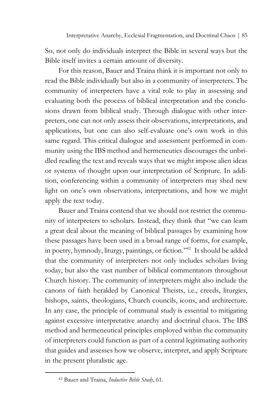So, not only do individuals interpret the Bible in several ways but the Bible itself invites a certain amount of diversity.

For this reason, Bauer and Traina think it is important not only to read the Bible individually but also in a community of interpreters. The community of interpreters have a vital role to play in assessing and evaluating both the process of biblical interpretation and the conclusions drawn from biblical study. Through dialogue with other interpreters, one can not only assess their observations, interpretations, and applications, but one can also self-evaluate one's own work in this same regard. This critical dialogue and assessment performed in community using the IBS method and hermeneutics discourages the unbridled reading the text and reveals ways that we might impose alien ideas or systems of thought upon our interpretation of Scripture. In addition, conferencing within a community of interpreters may shed new light on one's own observations, interpretations, and how we might apply the text today.

Bauer and Traina contend that we should not restrict the community of interpreters to scholars. Instead, they think that "we can learn a great deal about the meaning of biblical passages by examining how these passages have been used in a broad range of forms, for example, in poetry, hymnody, liturgy, paintings, or fiction."42 It should be added that the community of interpreters not only includes scholars living today, but also the vast number of biblical commentators throughout Church history. The community of interpreters might also include the canons of faith heralded by Canonical Theists, i.e., creeds, liturgies, bishops, saints, theologians, Church councils, icons, and architecture. In any case, the principle of communal study is essential to mitigating against excessive interpretative anarchy and doctrinal chaos. The IBS method and hermeneutical principles employed within the community of interpreters could function as part of a central legitimating authority that guides and assesses how we observe, interpret, and apply Scripture in the present pluralistic age.

<sup>42</sup> Bauer and Traina, *Inductive Bible Study*, 61.